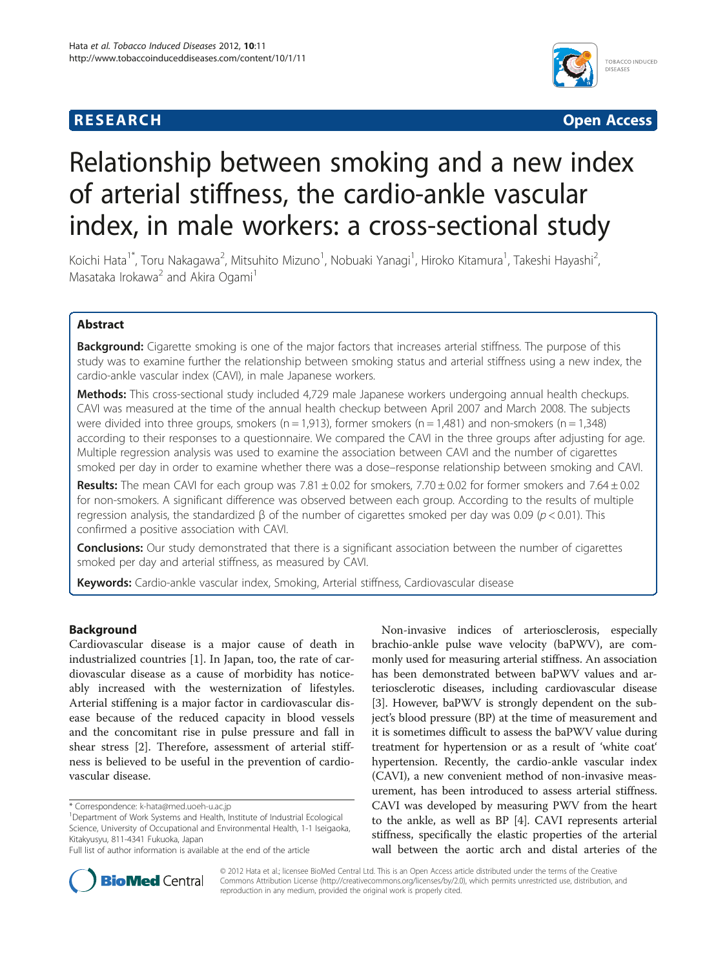# **RESEARCH CHE Open Access**



# Relationship between smoking and a new index of arterial stiffness, the cardio-ankle vascular index, in male workers: a cross-sectional study

Koichi Hata<sup>1\*</sup>, Toru Nakagawa<sup>2</sup>, Mitsuhito Mizuno<sup>1</sup>, Nobuaki Yanagi<sup>1</sup>, Hiroko Kitamura<sup>1</sup>, Takeshi Hayashi<sup>2</sup> , Masataka Irokawa<sup>2</sup> and Akira Ogami<sup>1</sup>

# Abstract

Background: Cigarette smoking is one of the major factors that increases arterial stiffness. The purpose of this study was to examine further the relationship between smoking status and arterial stiffness using a new index, the cardio-ankle vascular index (CAVI), in male Japanese workers.

Methods: This cross-sectional study included 4,729 male Japanese workers undergoing annual health checkups. CAVI was measured at the time of the annual health checkup between April 2007 and March 2008. The subjects were divided into three groups, smokers ( $n = 1,913$ ), former smokers ( $n = 1,481$ ) and non-smokers ( $n = 1,348$ ) according to their responses to a questionnaire. We compared the CAVI in the three groups after adjusting for age. Multiple regression analysis was used to examine the association between CAVI and the number of cigarettes smoked per day in order to examine whether there was a dose–response relationship between smoking and CAVI.

Results: The mean CAVI for each group was  $7.81 \pm 0.02$  for smokers,  $7.70 \pm 0.02$  for former smokers and  $7.64 \pm 0.02$ for non-smokers. A significant difference was observed between each group. According to the results of multiple regression analysis, the standardized β of the number of cigarettes smoked per day was 0.09 ( $p$  < 0.01). This confirmed a positive association with CAVI.

Conclusions: Our study demonstrated that there is a significant association between the number of cigarettes smoked per day and arterial stiffness, as measured by CAVI.

Keywords: Cardio-ankle vascular index, Smoking, Arterial stiffness, Cardiovascular disease

# Background

Cardiovascular disease is a major cause of death in industrialized countries [[1\]](#page-4-0). In Japan, too, the rate of cardiovascular disease as a cause of morbidity has noticeably increased with the westernization of lifestyles. Arterial stiffening is a major factor in cardiovascular disease because of the reduced capacity in blood vessels and the concomitant rise in pulse pressure and fall in shear stress [\[2](#page-4-0)]. Therefore, assessment of arterial stiffness is believed to be useful in the prevention of cardiovascular disease.

Non-invasive indices of arteriosclerosis, especially brachio-ankle pulse wave velocity (baPWV), are commonly used for measuring arterial stiffness. An association has been demonstrated between baPWV values and arteriosclerotic diseases, including cardiovascular disease [[3\]](#page-4-0). However, baPWV is strongly dependent on the subject's blood pressure (BP) at the time of measurement and it is sometimes difficult to assess the baPWV value during treatment for hypertension or as a result of 'white coat' hypertension. Recently, the cardio-ankle vascular index (CAVI), a new convenient method of non-invasive measurement, has been introduced to assess arterial stiffness. CAVI was developed by measuring PWV from the heart to the ankle, as well as BP [\[4](#page-4-0)]. CAVI represents arterial stiffness, specifically the elastic properties of the arterial wall between the aortic arch and distal arteries of the



© 2012 Hata et al.; licensee BioMed Central Ltd. This is an Open Access article distributed under the terms of the Creative Commons Attribution License [\(http://creativecommons.org/licenses/by/2.0\)](http://creativecommons.org/licenses/by/2.0), which permits unrestricted use, distribution, and reproduction in any medium, provided the original work is properly cited.

<sup>\*</sup> Correspondence: [k-hata@med.uoeh-u.ac.jp](mailto:k-ata@med.uoeh-u.ac.jp) <sup>1</sup>

Department of Work Systems and Health, Institute of Industrial Ecological Science, University of Occupational and Environmental Health, 1-1 Iseigaoka, Kitakyusyu, 811-4341 Fukuoka, Japan

Full list of author information is available at the end of the article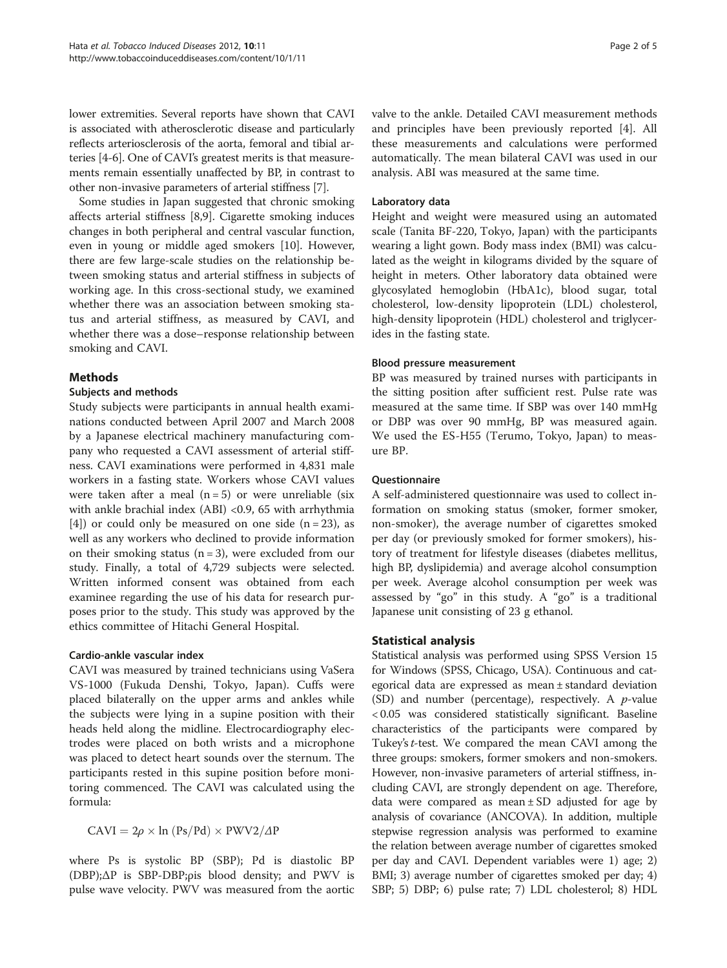lower extremities. Several reports have shown that CAVI is associated with atherosclerotic disease and particularly reflects arteriosclerosis of the aorta, femoral and tibial arteries [[4-6\]](#page-4-0). One of CAVI's greatest merits is that measurements remain essentially unaffected by BP, in contrast to other non-invasive parameters of arterial stiffness [[7](#page-4-0)].

Some studies in Japan suggested that chronic smoking affects arterial stiffness [[8,9\]](#page-4-0). Cigarette smoking induces changes in both peripheral and central vascular function, even in young or middle aged smokers [[10\]](#page-4-0). However, there are few large-scale studies on the relationship between smoking status and arterial stiffness in subjects of working age. In this cross-sectional study, we examined whether there was an association between smoking status and arterial stiffness, as measured by CAVI, and whether there was a dose–response relationship between smoking and CAVI.

# Methods

# Subjects and methods

Study subjects were participants in annual health examinations conducted between April 2007 and March 2008 by a Japanese electrical machinery manufacturing company who requested a CAVI assessment of arterial stiffness. CAVI examinations were performed in 4,831 male workers in a fasting state. Workers whose CAVI values were taken after a meal  $(n = 5)$  or were unreliable (six with ankle brachial index (ABI) <0.9, 65 with arrhythmia [[4\]](#page-4-0)) or could only be measured on one side  $(n = 23)$ , as well as any workers who declined to provide information on their smoking status  $(n = 3)$ , were excluded from our study. Finally, a total of 4,729 subjects were selected. Written informed consent was obtained from each examinee regarding the use of his data for research purposes prior to the study. This study was approved by the ethics committee of Hitachi General Hospital.

# Cardio-ankle vascular index

CAVI was measured by trained technicians using VaSera VS-1000 (Fukuda Denshi, Tokyo, Japan). Cuffs were placed bilaterally on the upper arms and ankles while the subjects were lying in a supine position with their heads held along the midline. Electrocardiography electrodes were placed on both wrists and a microphone was placed to detect heart sounds over the sternum. The participants rested in this supine position before monitoring commenced. The CAVI was calculated using the formula:

 $CAVI = 2\rho \times \ln (Ps/Pd) \times PWV2/\Delta P$ 

where Ps is systolic BP (SBP); Pd is diastolic BP (DBP);ΔP is SBP-DBP;ρis blood density; and PWV is pulse wave velocity. PWV was measured from the aortic valve to the ankle. Detailed CAVI measurement methods and principles have been previously reported [[4\]](#page-4-0). All these measurements and calculations were performed automatically. The mean bilateral CAVI was used in our analysis. ABI was measured at the same time.

# Laboratory data

Height and weight were measured using an automated scale (Tanita BF-220, Tokyo, Japan) with the participants wearing a light gown. Body mass index (BMI) was calculated as the weight in kilograms divided by the square of height in meters. Other laboratory data obtained were glycosylated hemoglobin (HbA1c), blood sugar, total cholesterol, low-density lipoprotein (LDL) cholesterol, high-density lipoprotein (HDL) cholesterol and triglycerides in the fasting state.

# Blood pressure measurement

BP was measured by trained nurses with participants in the sitting position after sufficient rest. Pulse rate was measured at the same time. If SBP was over 140 mmHg or DBP was over 90 mmHg, BP was measured again. We used the ES-H55 (Terumo, Tokyo, Japan) to measure BP.

# Questionnaire

A self-administered questionnaire was used to collect information on smoking status (smoker, former smoker, non-smoker), the average number of cigarettes smoked per day (or previously smoked for former smokers), history of treatment for lifestyle diseases (diabetes mellitus, high BP, dyslipidemia) and average alcohol consumption per week. Average alcohol consumption per week was assessed by "go" in this study. A "go" is a traditional Japanese unit consisting of 23 g ethanol.

# Statistical analysis

Statistical analysis was performed using SPSS Version 15 for Windows (SPSS, Chicago, USA). Continuous and categorical data are expressed as mean ± standard deviation (SD) and number (percentage), respectively. A  $p$ -value < 0.05 was considered statistically significant. Baseline characteristics of the participants were compared by Tukey's *t*-test. We compared the mean CAVI among the three groups: smokers, former smokers and non-smokers. However, non-invasive parameters of arterial stiffness, including CAVI, are strongly dependent on age. Therefore, data were compared as mean  $\pm$  SD adjusted for age by analysis of covariance (ANCOVA). In addition, multiple stepwise regression analysis was performed to examine the relation between average number of cigarettes smoked per day and CAVI. Dependent variables were 1) age; 2) BMI; 3) average number of cigarettes smoked per day; 4) SBP; 5) DBP; 6) pulse rate; 7) LDL cholesterol; 8) HDL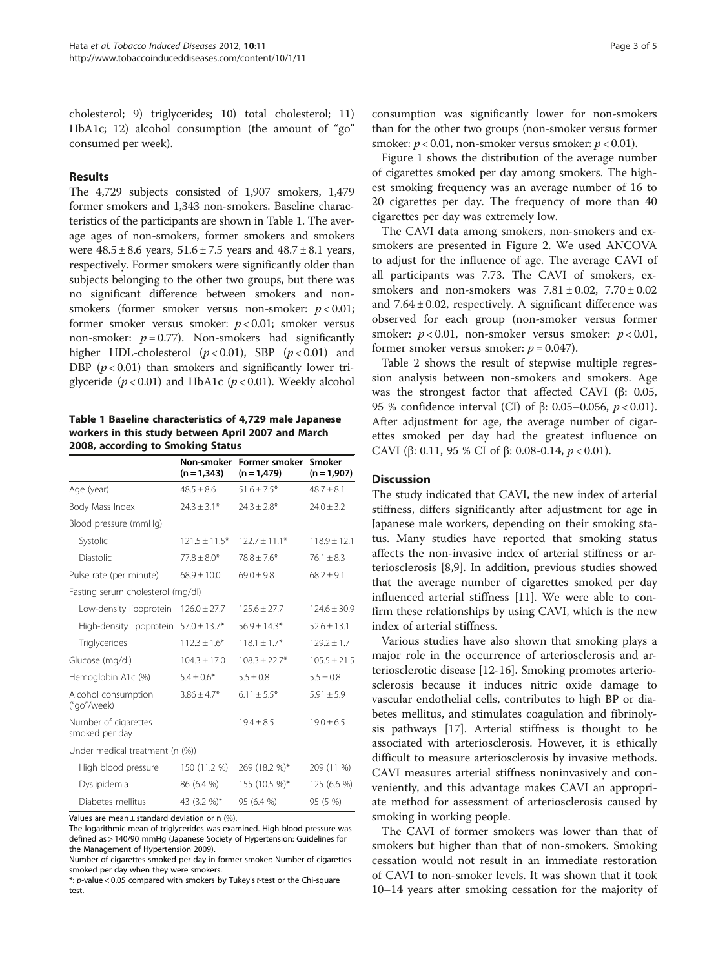cholesterol; 9) triglycerides; 10) total cholesterol; 11) HbA1c; 12) alcohol consumption (the amount of "go" consumed per week).

# Results

The 4,729 subjects consisted of 1,907 smokers, 1,479 former smokers and 1,343 non-smokers. Baseline characteristics of the participants are shown in Table 1. The average ages of non-smokers, former smokers and smokers were  $48.5 \pm 8.6$  years,  $51.6 \pm 7.5$  years and  $48.7 \pm 8.1$  years, respectively. Former smokers were significantly older than subjects belonging to the other two groups, but there was no significant difference between smokers and nonsmokers (former smoker versus non-smoker:  $p < 0.01$ ; former smoker versus smoker:  $p < 0.01$ ; smoker versus non-smoker:  $p = 0.77$ ). Non-smokers had significantly higher HDL-cholesterol  $(p < 0.01)$ , SBP  $(p < 0.01)$  and DBP  $(p < 0.01)$  than smokers and significantly lower triglyceride ( $p < 0.01$ ) and HbA1c ( $p < 0.01$ ). Weekly alcohol

Table 1 Baseline characteristics of 4,729 male Japanese workers in this study between April 2007 and March 2008, according to Smoking Status

|                                            | Non-smoker<br>$(n = 1,343)$ | Former smoker<br>$(n = 1,479)$        | Smoker<br>$(n = 1,907)$ |
|--------------------------------------------|-----------------------------|---------------------------------------|-------------------------|
| Age (year)                                 | $48.5 \pm 8.6$              | $51.6 \pm 7.5*$                       | $48.7 + 8.1$            |
| Body Mass Index                            | $24.3 \pm 3.1*$             | $24.3 \pm 2.8$ *                      | $24.0 \pm 3.2$          |
| Blood pressure (mmHq)                      |                             |                                       |                         |
| Systolic                                   | $121.5 \pm 11.5^*$          | $122.7 \pm 11.1*$<br>$118.9 \pm 12.1$ |                         |
| Diastolic                                  | $77.8 \pm 8.0*$             | $78.8 \pm 7.6*$                       | $76.1 \pm 8.3$          |
| Pulse rate (per minute)                    | $68.9 \pm 10.0$             | $69.0 \pm 9.8$                        | $68.2 \pm 9.1$          |
| Fasting serum cholesterol (mg/dl)          |                             |                                       |                         |
| Low-density lipoprotein                    | $126.0 \pm 27.7$            | $125.6 + 27.7$                        | $124.6 + 30.9$          |
| High-density lipoprotein $57.0 \pm 13.7$ * |                             | $56.9 \pm 14.3*$                      | $52.6 + 13.1$           |
| Triglycerides                              | $112.3 \pm 1.6*$            | $118.1 \pm 1.7*$                      | $129.2 \pm 1.7$         |
| Glucose (mg/dl)                            | $104.3 \pm 17.0$            | $108.3 \pm 22.7*$                     | $105.5 \pm 21.5$        |
| Hemoglobin A1c (%)                         | $5.4 \pm 0.6*$              | $5.5 \pm 0.8$                         | $5.5 \pm 0.8$           |
| Alcohol consumption<br>("go"/week)         | $3.86 \pm 4.7*$             | $6.11 \pm 5.5*$                       | $5.91 \pm 5.9$          |
| Number of cigarettes<br>smoked per day     |                             | $19.4 \pm 8.5$                        | $19.0 \pm 6.5$          |
| Under medical treatment (n (%))            |                             |                                       |                         |
| High blood pressure                        | 150 (11.2 %)                | 269 (18.2 %)*                         | 209 (11 %)              |
| Dyslipidemia                               | 86 (6.4 %)                  | 155 (10.5 %)*                         | 125 (6.6 %)             |
| Diabetes mellitus                          | 43 (3.2 %)*                 | 95 (6.4 %)                            | 95 (5 %)                |

Values are mean  $\pm$  standard deviation or n (%).

consumption was significantly lower for non-smokers than for the other two groups (non-smoker versus former smoker:  $p < 0.01$ , non-smoker versus smoker:  $p < 0.01$ ).

Figure [1](#page-3-0) shows the distribution of the average number of cigarettes smoked per day among smokers. The highest smoking frequency was an average number of 16 to 20 cigarettes per day. The frequency of more than 40 cigarettes per day was extremely low.

The CAVI data among smokers, non-smokers and exsmokers are presented in Figure [2.](#page-3-0) We used ANCOVA to adjust for the influence of age. The average CAVI of all participants was 7.73. The CAVI of smokers, exsmokers and non-smokers was  $7.81 \pm 0.02$ ,  $7.70 \pm 0.02$ and  $7.64 \pm 0.02$ , respectively. A significant difference was observed for each group (non-smoker versus former smoker:  $p < 0.01$ , non-smoker versus smoker:  $p < 0.01$ , former smoker versus smoker:  $p = 0.047$ ).

Table [2](#page-4-0) shows the result of stepwise multiple regression analysis between non-smokers and smokers. Age was the strongest factor that affected CAVI (β: 0.05, 95 % confidence interval (CI) of β: 0.05–0.056, p < 0.01). After adjustment for age, the average number of cigarettes smoked per day had the greatest influence on CAVI (β: 0.11, 95 % CI of β: 0.08-0.14,  $p < 0.01$ ).

#### **Discussion**

The study indicated that CAVI, the new index of arterial stiffness, differs significantly after adjustment for age in Japanese male workers, depending on their smoking status. Many studies have reported that smoking status affects the non-invasive index of arterial stiffness or arteriosclerosis [[8,9\]](#page-4-0). In addition, previous studies showed that the average number of cigarettes smoked per day influenced arterial stiffness [[11\]](#page-4-0). We were able to confirm these relationships by using CAVI, which is the new index of arterial stiffness.

Various studies have also shown that smoking plays a major role in the occurrence of arteriosclerosis and arteriosclerotic disease [[12-16\]](#page-4-0). Smoking promotes arteriosclerosis because it induces nitric oxide damage to vascular endothelial cells, contributes to high BP or diabetes mellitus, and stimulates coagulation and fibrinolysis pathways [\[17](#page-4-0)]. Arterial stiffness is thought to be associated with arteriosclerosis. However, it is ethically difficult to measure arteriosclerosis by invasive methods. CAVI measures arterial stiffness noninvasively and conveniently, and this advantage makes CAVI an appropriate method for assessment of arteriosclerosis caused by smoking in working people.

The CAVI of former smokers was lower than that of smokers but higher than that of non-smokers. Smoking cessation would not result in an immediate restoration of CAVI to non-smoker levels. It was shown that it took 10–14 years after smoking cessation for the majority of

The logarithmic mean of triglycerides was examined. High blood pressure was defined as > 140/90 mmHg (Japanese Society of Hypertension: Guidelines for the Management of Hypertension 2009).

Number of cigarettes smoked per day in former smoker: Number of cigarettes smoked per day when they were smokers.

<sup>\*:</sup> p-value < 0.05 compared with smokers by Tukey'st-test or the Chi-square test.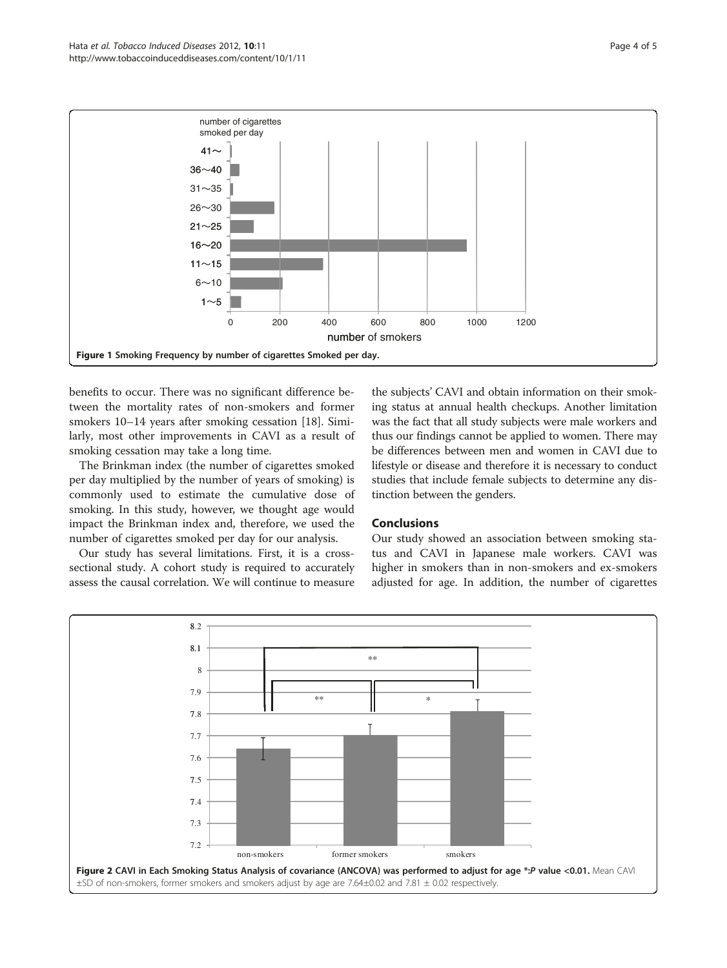<span id="page-3-0"></span>

benefits to occur. There was no significant difference between the mortality rates of non-smokers and former smokers 10–14 years after smoking cessation [\[18\]](#page-4-0). Similarly, most other improvements in CAVI as a result of smoking cessation may take a long time.

The Brinkman index (the number of cigarettes smoked per day multiplied by the number of years of smoking) is commonly used to estimate the cumulative dose of smoking. In this study, however, we thought age would impact the Brinkman index and, therefore, we used the number of cigarettes smoked per day for our analysis.

Our study has several limitations. First, it is a crosssectional study. A cohort study is required to accurately assess the causal correlation. We will continue to measure

the subjects' CAVI and obtain information on their smoking status at annual health checkups. Another limitation was the fact that all study subjects were male workers and thus our findings cannot be applied to women. There may be differences between men and women in CAVI due to lifestyle or disease and therefore it is necessary to conduct studies that include female subjects to determine any distinction between the genders.

# Conclusions

Our study showed an association between smoking status and CAVI in Japanese male workers. CAVI was higher in smokers than in non-smokers and ex-smokers adjusted for age. In addition, the number of cigarettes